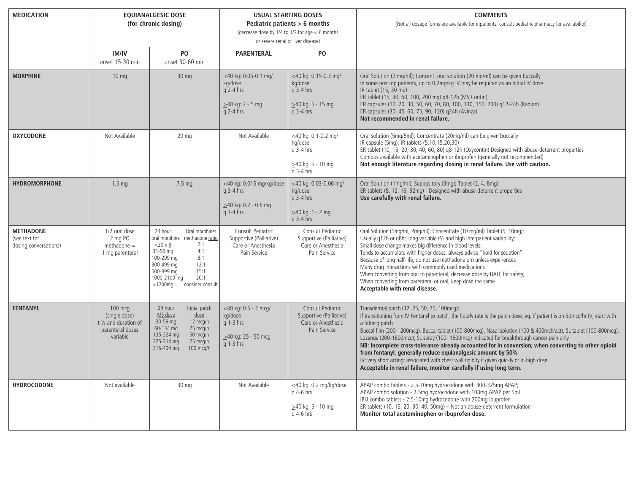| <b>MEDICATION</b>                                          | <b>EQUIANALGESIC DOSE</b><br>(for chronic dosing)                                   |                                                                                                                                                                                                                              | <b>USUAL STARTING DOSES</b><br>Pediatric patients > 6 months<br>(decrease dose by $1/4$ to $1/2$ for age $<$ 6 months<br>or severe renal or liver disease) |                                                                                          | <b>COMMENTS</b><br>(Not all dosage forms are available for inpatients, consult pediatric pharmacy for availability)                                                                                                                                                                                                                                                                                                                                                                                                                                                                                                                                                                                                                                        |
|------------------------------------------------------------|-------------------------------------------------------------------------------------|------------------------------------------------------------------------------------------------------------------------------------------------------------------------------------------------------------------------------|------------------------------------------------------------------------------------------------------------------------------------------------------------|------------------------------------------------------------------------------------------|------------------------------------------------------------------------------------------------------------------------------------------------------------------------------------------------------------------------------------------------------------------------------------------------------------------------------------------------------------------------------------------------------------------------------------------------------------------------------------------------------------------------------------------------------------------------------------------------------------------------------------------------------------------------------------------------------------------------------------------------------------|
|                                                            | <b>IM/IV</b><br>onset 15-30 min                                                     | P <sub>O</sub><br>onset 30-60 min                                                                                                                                                                                            | <b>PARENTERAL</b>                                                                                                                                          | <b>PO</b>                                                                                |                                                                                                                                                                                                                                                                                                                                                                                                                                                                                                                                                                                                                                                                                                                                                            |
| <b>MORPHINE</b>                                            | $10 \text{ mg}$                                                                     | $30 \text{ mg}$                                                                                                                                                                                                              | <40 kg: 0.05-0.1 mg/<br>kg/dose<br>$q$ 2-4 hrs<br>$\geq$ 40 kg: 2 - 5 mg<br>$q$ 2-4 hrs                                                                    | <40 kg: 0.15-0.3 mg/<br>kg/dose<br>$q$ 3-4 hrs<br>$\geq$ 40 kg: 5 - 15 mg<br>$a$ 3-4 hrs | Oral Solution (2 mg/ml); Concent. oral solution (20 mg/ml) can be given buccally<br>In some post-op patients, up to 0.2mg/kg IV may be required as an initial IV dose<br>IR tablet (15, 30 mg)<br>ER tablet (15, 30, 60, 100, 200 mg) q8-12h (MS Contin)<br>ER capsules (10, 20, 30, 50, 60, 70, 80, 100, 130, 150, 200) q12-24h (Kadian)<br>ER capsules (30, 45, 60, 75, 90, 120) q24h (Avinza)<br>Not recommended in renal failure.                                                                                                                                                                                                                                                                                                                      |
| <b>OXYCODONE</b>                                           | Not Available                                                                       | 20 <sub>mg</sub>                                                                                                                                                                                                             | Not Available                                                                                                                                              | <40 kg: 0.1-0.2 mg/<br>kg/dose<br>g 3-4 hrs<br>$\geq$ 40 kg: 5 - 10 mg<br>$q$ 3-4 hrs    | Oral solution (5mg/5ml); Concentrate (20mg/ml) can be given buccally<br>IR capsule (5mg); IR tablets (5,10,15,20,30)<br>ER tablet (10, 15, 20, 30, 40, 60, 80) q8-12h (Oxycontin) Designed with abuse-deterrent properties<br>Combos available with acetaminophen or ibuprofen (generally not recommended)<br>Not enough literature regarding dosing in renal failure. Use with caution.                                                                                                                                                                                                                                                                                                                                                                   |
| <b>HYDROMORPHONE</b>                                       | 1.5 <sub>mg</sub>                                                                   | 7.5 mg                                                                                                                                                                                                                       | <40 kg: 0.015 mg/kg/dose<br>$q$ 3-4 hrs<br>$\geq$ 40 kg: 0.2 - 0.6 mg<br>$q$ 3-4 hrs                                                                       | <40 kg: 0.03-0.06 mg/<br>kg/dose<br>$q$ 3-4 hrs<br>$\geq$ 40 kg: 1 - 2 mg<br>$q$ 3-4 hrs | Oral Solution (1mg/ml); Suppository (3mg); Tablet (2, 4, 8mg)<br>ER tablets (8, 12, 16, 32mg) - Designed with abuse-deterrent properties<br>Use carefully with renal failure.                                                                                                                                                                                                                                                                                                                                                                                                                                                                                                                                                                              |
| <b>METHADONE</b><br>(see text for<br>dosing conversations) | 1/2 oral dose<br>2 mg PO<br>$methodone =$<br>1 mg parenteral                        | 24 hour<br>Oral morphine:<br>oral morphine methadone ratio<br>$<$ 30 mg<br>2:1<br>4:1<br>31-99 mg<br>100-299 mg<br>8:1<br>300-499 mg<br>12:1<br>15:1<br>500-999 mg<br>20:1<br>1000-2100 mg<br>$>1200$ mg<br>consider consult | Consult Pediatric<br>Supportive (Palliative)<br>Care or Anesthesia<br>Pain Service                                                                         | Consult Pediatric<br>Supportive (Palliative)<br>Care or Anesthesia<br>Pain Service       | Oral Solution (1mg/ml, 2mg/ml); Concentrate (10 mg/ml) Tablet (5, 10mg);<br>Usually q12h or q8h; Long variable t1/2 and high interpatient variability;<br>Small dose change makes big difference in blood levels;<br>Tends to accumulate with higher doses, always advise "hold for sedation"<br>Because of long half-life, do not use methadone prn unless experienced<br>Many drug interactions with commonly used medications<br>When converting from oral to parenteral, decrease dose by HALF for safety;<br>When converting from parenteral or oral, keep dose the same<br>Acceptable with renal disease.                                                                                                                                            |
| <b>FENTANYL</b>                                            | $100$ mcg<br>(single dose)<br>t 1/2 and duration of<br>parenteral doses<br>variable | 24 hour<br>Initial patch<br>MS dose<br>$\frac{dose}{dose}$<br>30-59 mg<br>12 mcg/h<br>60-134 mg<br>25 mcg/h<br>135-224 mg<br>50 mcg/h<br>75 mcg/h<br>225-314 mg<br>315-404 mg<br>100 mcg/h                                   | $<$ 40 kg: 0.5 - 2 mcg/<br>kg/dose<br>q 1-3 hrs<br>$\geq$ 40 kg: 25 - 50 mcg<br>$q$ 1-3 hrs                                                                | Consult Pediatric<br>Supportive (Palliative)<br>Care or Anesthesia<br>Pain Service       | Transdermal patch (12, 25, 50, 75, 100mcg);<br>If transitioning from IV Fentanyl to patch, the hourly rate is the patch dose; eq. if patient is on 50mcq/hr IV, start with<br>a 50mcg patch<br>Buccal film (200-1200mcq), Buccal tablet (100-800mcq), Nasal solution (100 & 400mch/act), SL tablet (100-800mcq),<br>Lozenge (200-1600mcg); SL spray (100- 1600mcg) Indicated for breakthrough cancer pain only<br>NB: Incomplete cross-tolerance already accounted for in conversion; when converting to other opioid<br>from fentanyl, generally reduce equianalgesic amount by 50%<br>IV: very short acting; associated with chest wall rigidity if given quickly or in high dose.<br>Acceptable in renal failure, monitor carefully if using long term. |
| <b>HYDROCODONE</b>                                         | Not available                                                                       | $30 \text{ mg}$                                                                                                                                                                                                              | Not Available                                                                                                                                              | <40 kg: 0.2 mg/kg/dose<br>g 4-6 hrs<br>$\geq$ 40 kg: 5 - 10 mg<br>q 4-6 hrs              | APAP combo tablets - 2.5-10mg hydrocodone with 300-325mg APAP;<br>APAP combo solution - 2.5mg hydrocodone with 108mg APAP per 5ml<br>IBU combo tablets - 2.5-10mg hydrocodone with 200mg ibuprofen<br>ER tablets (10, 15, 20, 30, 40, 50mg) - Not an abuse-deterrent formulation<br>Monitor total acetaminophen or ibuprofen dose.                                                                                                                                                                                                                                                                                                                                                                                                                         |